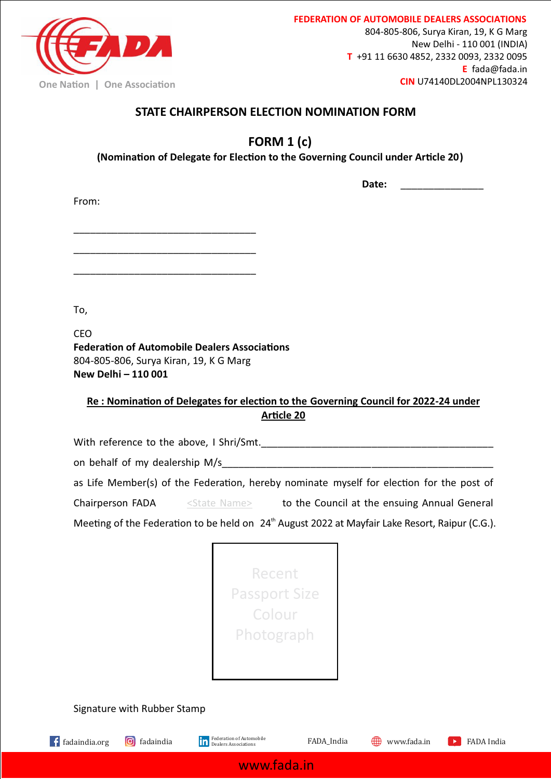

### **STATE CHAIRPERSON ELECTION NOMINATION FORM**

**FORM 1 (c)**

**(Nomination of Delegate for Election to the Governing Council under Article 20)** 

Date:

From:

To,

CEO **Federation of Automobile Dealers Associations** 804-805-806, Surya Kiran, 19, K G Marg **New Delhi – 110 001**

\_\_\_\_\_\_\_\_\_\_\_\_\_\_\_\_\_\_\_\_\_\_\_\_\_\_\_\_\_\_\_\_\_

\_\_\_\_\_\_\_\_\_\_\_\_\_\_\_\_\_\_\_\_\_\_\_\_\_\_\_\_\_\_\_\_\_

\_\_\_\_\_\_\_\_\_\_\_\_\_\_\_\_\_\_\_\_\_\_\_\_\_\_\_\_\_\_\_\_\_

## **Re : Nomination of Delegates for election to the Governing Council for 2022-24 under** Article 20

With reference to the above, I Shri/Smt.\_\_\_\_\_\_\_\_\_\_\_\_\_\_\_\_\_\_\_\_\_\_\_\_\_\_\_\_\_\_\_\_\_\_\_\_\_\_\_\_\_\_

on behalf of my dealership M/s\_\_\_\_\_\_\_\_\_\_\_\_\_\_\_\_\_\_\_\_\_\_\_\_\_\_\_\_\_\_\_\_\_\_\_\_\_\_\_\_\_\_\_\_\_\_\_\_\_

as Life Member(s) of the Federation, hereby nominate myself for election for the post of Chairperson FADA <State Name> to the Council at the ensuing Annual General Meeting of the Federation to be held on 24<sup>th</sup> August 2022 at Mayfair Lake Resort, Raipur (C.G.).



Signature with Rubber Stamp

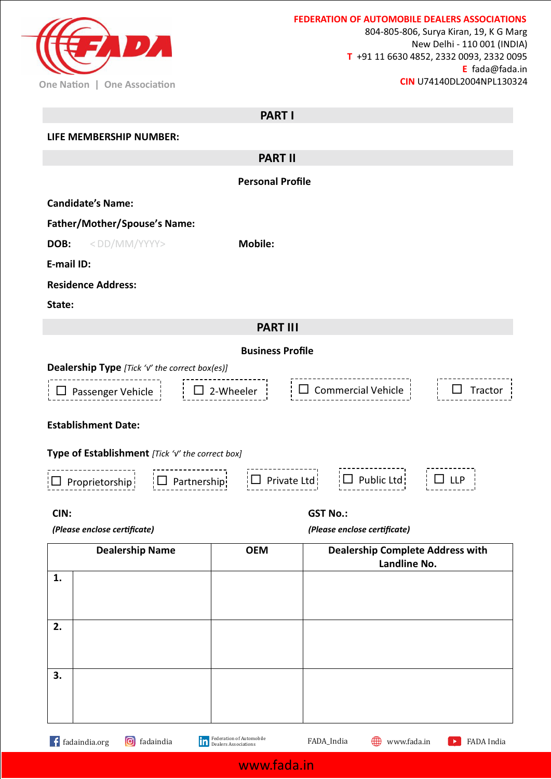

| <b>PART I</b>                                                                                         |  |  |  |  |  |  |  |
|-------------------------------------------------------------------------------------------------------|--|--|--|--|--|--|--|
| LIFE MEMBERSHIP NUMBER:                                                                               |  |  |  |  |  |  |  |
| <b>PART II</b>                                                                                        |  |  |  |  |  |  |  |
| <b>Personal Profile</b>                                                                               |  |  |  |  |  |  |  |
| <b>Candidate's Name:</b>                                                                              |  |  |  |  |  |  |  |
| <b>Father/Mother/Spouse's Name:</b>                                                                   |  |  |  |  |  |  |  |
| $<$ DD/MM/YYYY><br><b>Mobile:</b><br>DOB:                                                             |  |  |  |  |  |  |  |
| E-mail ID:                                                                                            |  |  |  |  |  |  |  |
| <b>Residence Address:</b>                                                                             |  |  |  |  |  |  |  |
| State:                                                                                                |  |  |  |  |  |  |  |
| <b>PART III</b>                                                                                       |  |  |  |  |  |  |  |
| <b>Business Profile</b>                                                                               |  |  |  |  |  |  |  |
| Dealership Type [Tick 'v' the correct box(es)]<br>--------------<br>. _ _ _ _ _ _ _ _ _ _ _ _ _ _ _ _ |  |  |  |  |  |  |  |
| $\Box$ Tractor                                                                                        |  |  |  |  |  |  |  |
| <b>Establishment Date:</b>                                                                            |  |  |  |  |  |  |  |
| Type of Establishment [Tick 'v' the correct box]<br>$\Box$ LLP                                        |  |  |  |  |  |  |  |
| CIN:<br><b>GST No.:</b>                                                                               |  |  |  |  |  |  |  |
| (Please enclose certificate)<br>(Please enclose certificate)                                          |  |  |  |  |  |  |  |
| <b>OEM</b><br><b>Dealership Complete Address with</b><br><b>Dealership Name</b><br>Landline No.       |  |  |  |  |  |  |  |
| 1.                                                                                                    |  |  |  |  |  |  |  |
| 2.                                                                                                    |  |  |  |  |  |  |  |
|                                                                                                       |  |  |  |  |  |  |  |
|                                                                                                       |  |  |  |  |  |  |  |
|                                                                                                       |  |  |  |  |  |  |  |
|                                                                                                       |  |  |  |  |  |  |  |
| 3.                                                                                                    |  |  |  |  |  |  |  |
|                                                                                                       |  |  |  |  |  |  |  |



fadaindia.org **G** fadaindia in Federation of Automobile FADA\_India <del>(@</del> www.fada.in PaDA India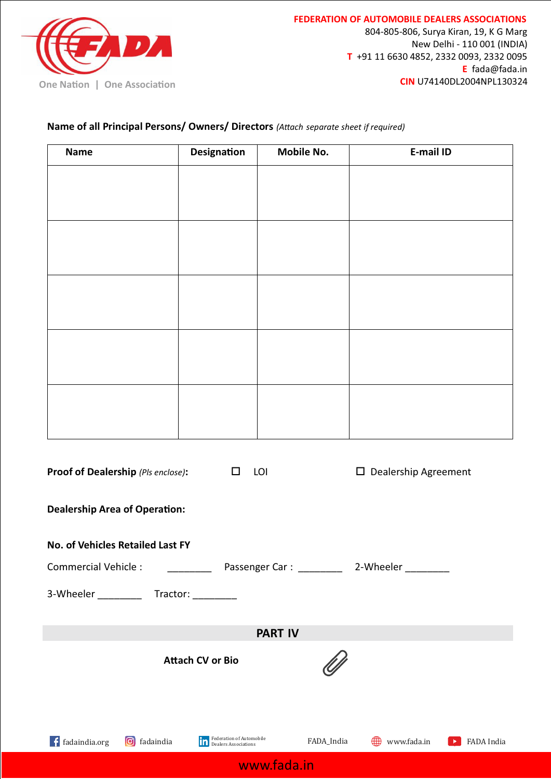

### Name of all Principal Persons/ Owners/ Directors (Attach separate sheet if required)

| <b>Name</b>                                                                           | Designation                                                   | Mobile No. | E-mail ID   |                                     |  |  |  |  |
|---------------------------------------------------------------------------------------|---------------------------------------------------------------|------------|-------------|-------------------------------------|--|--|--|--|
|                                                                                       |                                                               |            |             |                                     |  |  |  |  |
|                                                                                       |                                                               |            |             |                                     |  |  |  |  |
|                                                                                       |                                                               |            |             |                                     |  |  |  |  |
|                                                                                       |                                                               |            |             |                                     |  |  |  |  |
|                                                                                       |                                                               |            |             |                                     |  |  |  |  |
|                                                                                       |                                                               |            |             |                                     |  |  |  |  |
|                                                                                       |                                                               |            |             |                                     |  |  |  |  |
|                                                                                       |                                                               |            |             |                                     |  |  |  |  |
|                                                                                       |                                                               |            |             |                                     |  |  |  |  |
|                                                                                       |                                                               |            |             |                                     |  |  |  |  |
|                                                                                       |                                                               |            |             |                                     |  |  |  |  |
|                                                                                       |                                                               |            |             |                                     |  |  |  |  |
|                                                                                       |                                                               |            |             |                                     |  |  |  |  |
| Proof of Dealership (Pls enclose):<br>$\square$ Dealership Agreement<br>$\Box$<br>LOI |                                                               |            |             |                                     |  |  |  |  |
| <b>Dealership Area of Operation:</b>                                                  |                                                               |            |             |                                     |  |  |  |  |
| No. of Vehicles Retailed Last FY                                                      |                                                               |            |             |                                     |  |  |  |  |
| Passenger Car: _________<br>2-Wheeler ________<br>Commercial Vehicle:                 |                                                               |            |             |                                     |  |  |  |  |
| Tractor: _________                                                                    |                                                               |            |             |                                     |  |  |  |  |
| 3-Wheeler ________                                                                    |                                                               |            |             |                                     |  |  |  |  |
| <b>PART IV</b>                                                                        |                                                               |            |             |                                     |  |  |  |  |
|                                                                                       |                                                               |            |             |                                     |  |  |  |  |
| <b>Attach CV or Bio</b>                                                               |                                                               |            |             |                                     |  |  |  |  |
|                                                                                       |                                                               |            |             |                                     |  |  |  |  |
|                                                                                       |                                                               |            |             |                                     |  |  |  |  |
| f fadaindia.org<br>fadaindia<br>0                                                     | Federation of Automobile<br>ın<br><b>Dealers Associations</b> | FADA_India | www.fada.in | FADA India<br>$\blacktriangleright$ |  |  |  |  |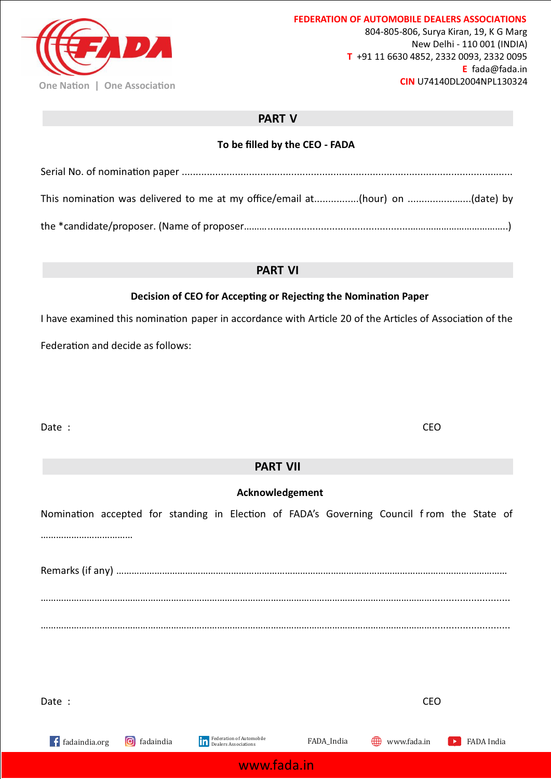

### **PART V**

### **To be filled by the CEO - FADA**

| This nomination was delivered to me at my office/email at(hour) on (date) by |
|------------------------------------------------------------------------------|
|                                                                              |

#### **PART VI**

#### **Decision of CEO for Accepting or Rejecting the Nomination Paper**

I have examined this nomination paper in accordance with Article 20 of the Articles of Association of the

Federation and decide as follows:

Date : CEO

## **PART VII**

#### **Acknowledgement**

Nomination accepted for standing in Election of FADA's Governing Council from the State of ………………………………

Remarks (if any) ………………………………………………………………………………………………………………………………………

………………………………………………………………………………………………………………………………………............................

………………………………………………………………………………………………………………………………………............................

| Date :                               |                    |                                                                  |            | <b>CEO</b>  |                                     |  |  |  |
|--------------------------------------|--------------------|------------------------------------------------------------------|------------|-------------|-------------------------------------|--|--|--|
| $\left  \cdot \right $ fadaindia.org | <b>6</b> fadaindia | <b>Property Rederation of Automobile</b><br>Dealers Associations | FADA_India | www.fada.in | FADA India<br>$\blacktriangleright$ |  |  |  |
| www.fada.in                          |                    |                                                                  |            |             |                                     |  |  |  |

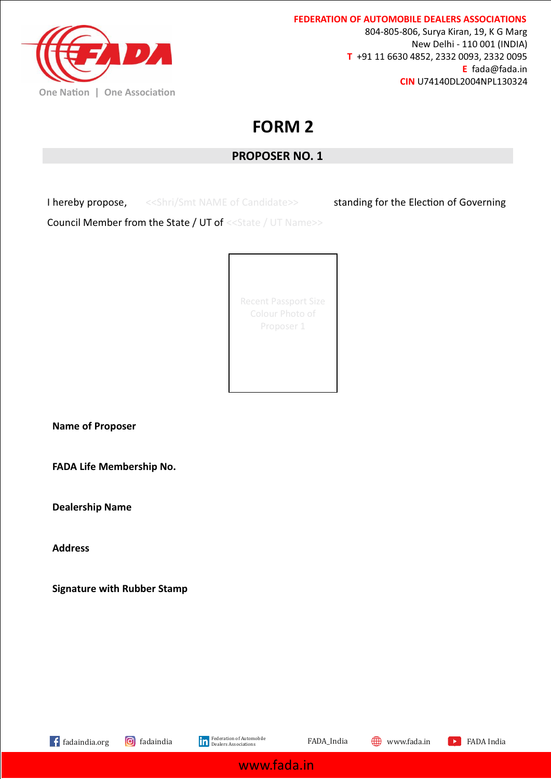

### **PROPOSER NO. 1**

I hereby propose, said set of Candidate>> standing for the Election of Governing

Council Member from the State / UT of << State / UT Name>>

Recent Passport Size Colour Photo of Proposer 1

**Name of Proposer**

**FADA Life Membership No.**

**Dealership Name**

**Address**

**Signature with Rubber Stamp**





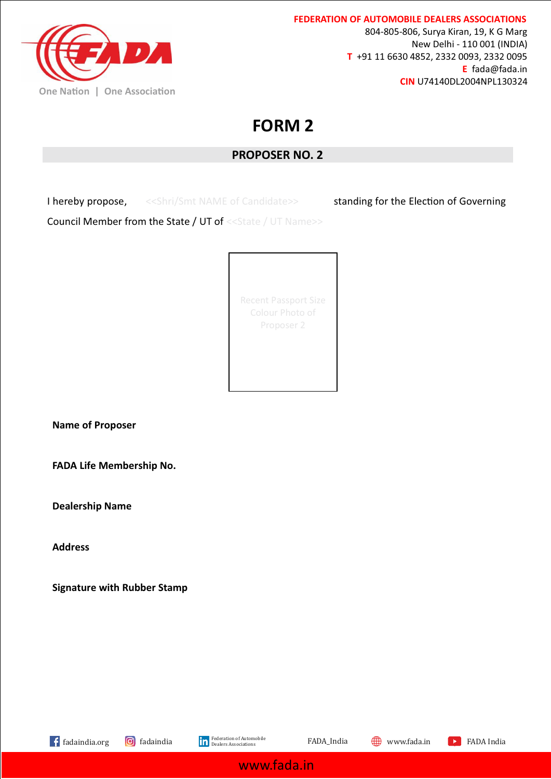

## **PROPOSER NO. 2**

I hereby propose, said samples of Candidate>> standing for the Election of Governing

Council Member from the State / UT of << State / UT Name>>

Recent Passport Size Colour Photo of

**Name of Proposer**

**FADA Life Membership No.**

**Dealership Name**

**Address**

**Signature with Rubber Stamp**



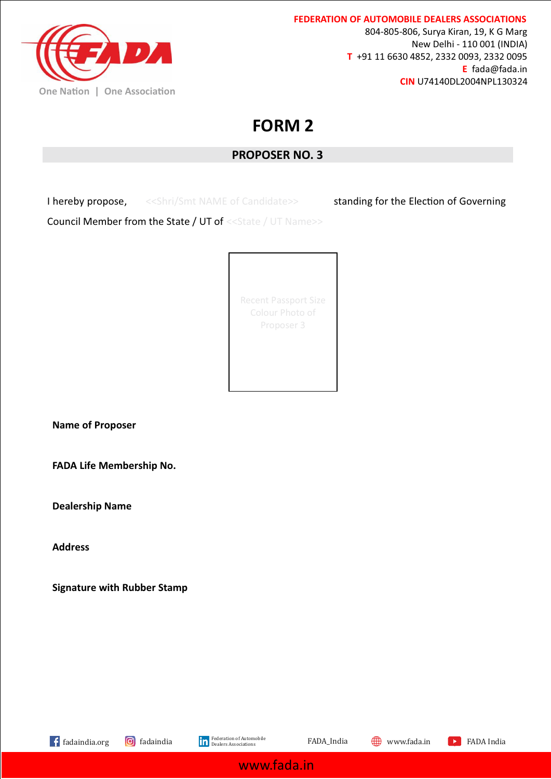

## **PROPOSER NO. 3**

I hereby propose, said samples of Candidate>> standing for the Election of Governing

Council Member from the State / UT of << State / UT Name>>

Recent Passport Size Colour Photo of

**Name of Proposer**

**FADA Life Membership No.**

**Dealership Name**

**Address**

**Signature with Rubber Stamp**

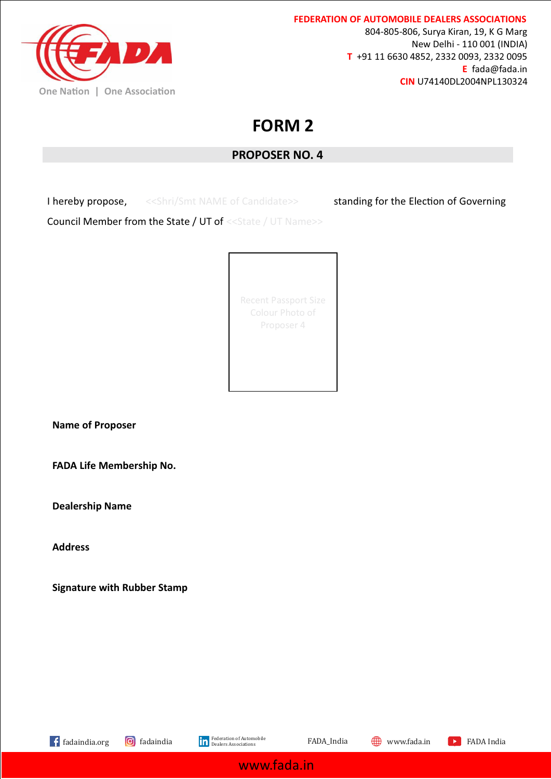

### **PROPOSER NO. 4**

I hereby propose, said samples of Candidate>> standing for the Election of Governing

Council Member from the State / UT of << State / UT Name>>

Recent Passport Size Colour Photo of Proposer 4

**Name of Proposer**

**FADA Life Membership No.**

**Dealership Name**

**Address**

**Signature with Rubber Stamp**